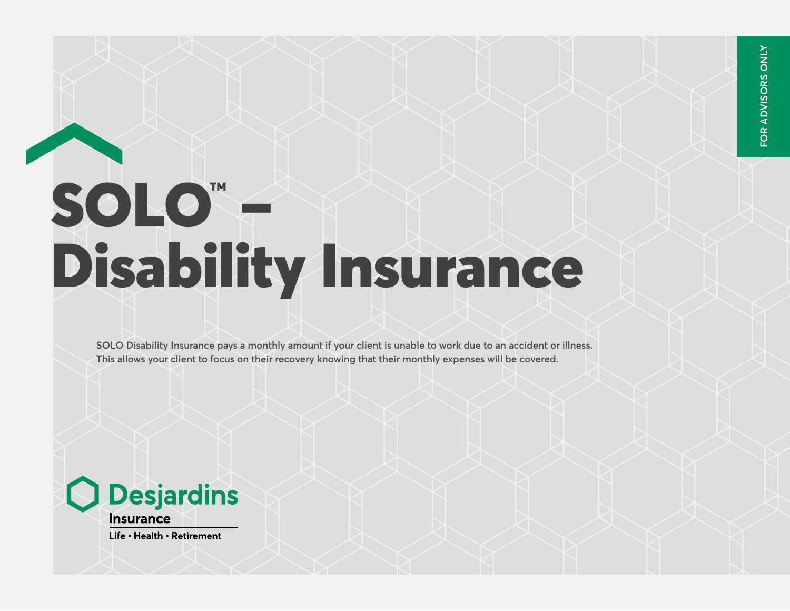## SOLO" F Disability Insurance

**SOLO Disability Insurance pays a monthly amount if your client is unable to work due to an accident or illness. This allows your client to focus on their recovery knowing that their monthly expenses will be covered.**

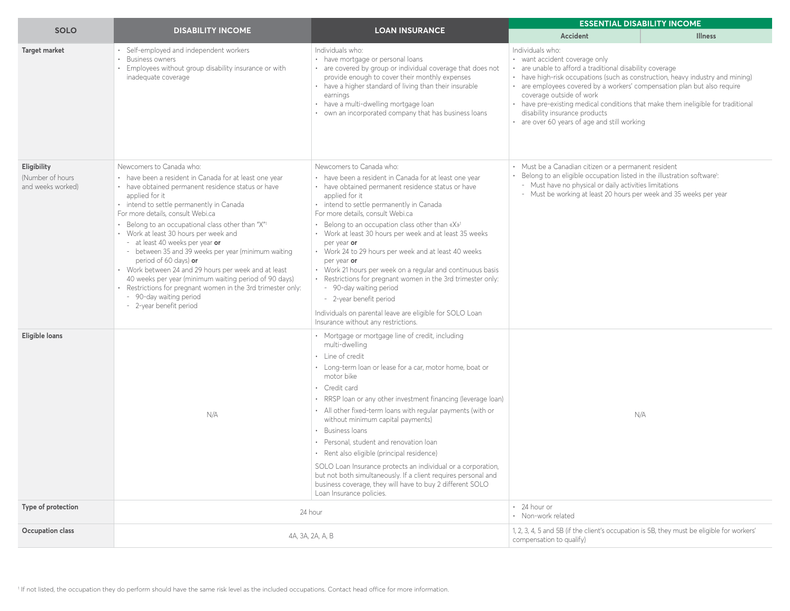|                                                       |                                                                                                                                                                                                                                                                                                                                                                                                                                                                                                                                                                                                                                                                                                     |                                                                                                                                                                                                                                                                                                                                                                                                                                                                                                                                                                                                                                                                                                                                                    |                                                                                                                                                                                                                                                                                                                                                                                                                                                                              | <b>ESSENTIAL DISABILITY INCOME</b> |
|-------------------------------------------------------|-----------------------------------------------------------------------------------------------------------------------------------------------------------------------------------------------------------------------------------------------------------------------------------------------------------------------------------------------------------------------------------------------------------------------------------------------------------------------------------------------------------------------------------------------------------------------------------------------------------------------------------------------------------------------------------------------------|----------------------------------------------------------------------------------------------------------------------------------------------------------------------------------------------------------------------------------------------------------------------------------------------------------------------------------------------------------------------------------------------------------------------------------------------------------------------------------------------------------------------------------------------------------------------------------------------------------------------------------------------------------------------------------------------------------------------------------------------------|------------------------------------------------------------------------------------------------------------------------------------------------------------------------------------------------------------------------------------------------------------------------------------------------------------------------------------------------------------------------------------------------------------------------------------------------------------------------------|------------------------------------|
| <b>SOLO</b>                                           | <b>DISABILITY INCOME</b>                                                                                                                                                                                                                                                                                                                                                                                                                                                                                                                                                                                                                                                                            | <b>LOAN INSURANCE</b>                                                                                                                                                                                                                                                                                                                                                                                                                                                                                                                                                                                                                                                                                                                              | <b>Accident</b>                                                                                                                                                                                                                                                                                                                                                                                                                                                              | <b>Illness</b>                     |
| Target market                                         | Self-employed and independent workers<br><b>Business owners</b><br>Employees without group disability insurance or with<br>inadequate coverage                                                                                                                                                                                                                                                                                                                                                                                                                                                                                                                                                      | Individuals who:<br>• have mortgage or personal loans<br>• are covered by group or individual coverage that does not<br>provide enough to cover their monthly expenses<br>• have a higher standard of living than their insurable<br>earnings<br>• have a multi-dwelling mortgage loan<br>• own an incorporated company that has business loans                                                                                                                                                                                                                                                                                                                                                                                                    | Individuals who:<br>· want accident coverage only<br>• are unable to afford a traditional disability coverage<br>• have high-risk occupations (such as construction, heavy industry and mining)<br>• are employees covered by a workers' compensation plan but also require<br>coverage outside of work<br>• have pre-existing medical conditions that make them ineligible for traditional<br>disability insurance products<br>• are over 60 years of age and still working |                                    |
| Eligibility<br>(Number of hours)<br>and weeks worked) | Newcomers to Canada who:<br>• have been a resident in Canada for at least one year<br>• have obtained permanent residence status or have<br>applied for it<br>• intend to settle permanently in Canada<br>For more details, consult Webi.ca<br>• Belong to an occupational class other than "X"1<br>• Work at least 30 hours per week and<br>- at least 40 weeks per year or<br>- between 35 and 39 weeks per year (minimum waiting<br>period of 60 days) or<br>• Work between 24 and 29 hours per week and at least<br>40 weeks per year (minimum waiting period of 90 days)<br>· Restrictions for pregnant women in the 3rd trimester only:<br>- 90-day waiting period<br>- 2-year benefit period | Newcomers to Canada who:<br>• have been a resident in Canada for at least one year<br>• have obtained permanent residence status or have<br>applied for it<br>• intend to settle permanently in Canada<br>For more details, consult Webi.ca<br>• Belong to an occupation class other than «X» <sup>1</sup><br>• Work at least 30 hours per week and at least 35 weeks<br>per year or<br>• Work 24 to 29 hours per week and at least 40 weeks<br>per year or<br>• Work 21 hours per week on a regular and continuous basis<br>· Restrictions for pregnant women in the 3rd trimester only:<br>- 90-day waiting period<br>- 2-year benefit period<br>Individuals on parental leave are eligible for SOLO Loan<br>Insurance without any restrictions. | • Must be a Canadian citizen or a permanent resident<br>Belong to an eligible occupation listed in the illustration software!:<br>- Must have no physical or daily activities limitations<br>- Must be working at least 20 hours per week and 35 weeks per year                                                                                                                                                                                                              |                                    |
| Eligible loans                                        | N/A                                                                                                                                                                                                                                                                                                                                                                                                                                                                                                                                                                                                                                                                                                 | • Mortgage or mortgage line of credit, including<br>multi-dwelling<br>• Line of credit<br>• Long-term loan or lease for a car, motor home, boat or<br>motor bike<br>• Credit card<br>• RRSP loan or any other investment financing (leverage loan)<br>• All other fixed-term loans with regular payments (with or<br>without minimum capital payments)<br>Business Ioans<br>• Personal, student and renovation loan<br>· Rent also eligible (principal residence)<br>SOLO Loan Insurance protects an individual or a corporation,<br>but not both simultaneously. If a client requires personal and<br>business coverage, they will have to buy 2 different SOLO<br>Loan Insurance policies.                                                       | N/A                                                                                                                                                                                                                                                                                                                                                                                                                                                                          |                                    |
| Type of protection                                    |                                                                                                                                                                                                                                                                                                                                                                                                                                                                                                                                                                                                                                                                                                     | 24 hour                                                                                                                                                                                                                                                                                                                                                                                                                                                                                                                                                                                                                                                                                                                                            | $\cdot$ 24 hour or<br>· Non-work related                                                                                                                                                                                                                                                                                                                                                                                                                                     |                                    |
| Occupation class                                      | 4A, 3A, 2A, A, B                                                                                                                                                                                                                                                                                                                                                                                                                                                                                                                                                                                                                                                                                    | 1, 2, 3, 4, 5 and 5B (if the client's occupation is 5B, they must be eligible for workers'<br>compensation to qualify)                                                                                                                                                                                                                                                                                                                                                                                                                                                                                                                                                                                                                             |                                                                                                                                                                                                                                                                                                                                                                                                                                                                              |                                    |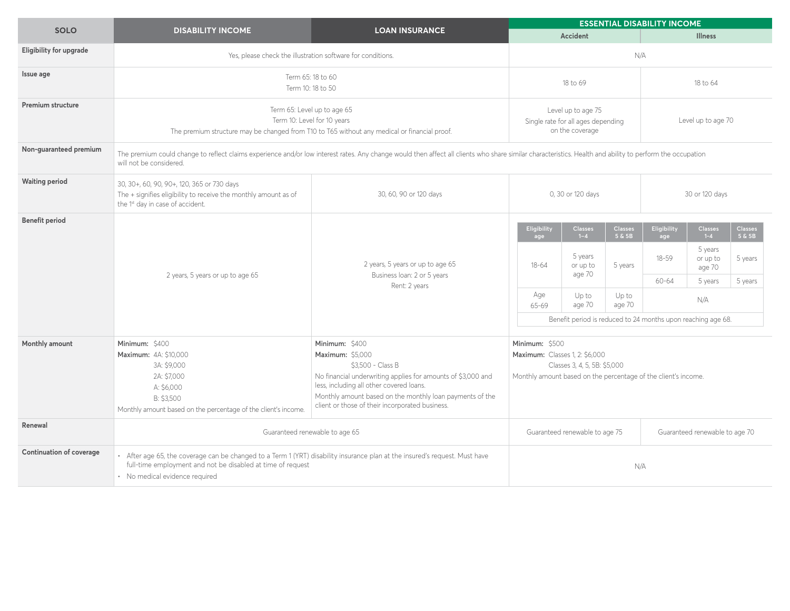|                                 |                                                                                                                                                                                                                                      |                                                                                                                                                                                                                                                                                    | <b>ESSENTIAL DISABILITY INCOME</b>                                                                                                                        |                               |                          |                    |                                          |                           |
|---------------------------------|--------------------------------------------------------------------------------------------------------------------------------------------------------------------------------------------------------------------------------------|------------------------------------------------------------------------------------------------------------------------------------------------------------------------------------------------------------------------------------------------------------------------------------|-----------------------------------------------------------------------------------------------------------------------------------------------------------|-------------------------------|--------------------------|--------------------|------------------------------------------|---------------------------|
| <b>SOLO</b>                     | <b>DISABILITY INCOME</b>                                                                                                                                                                                                             | <b>LOAN INSURANCE</b>                                                                                                                                                                                                                                                              |                                                                                                                                                           | <b>Accident</b>               |                          |                    | <b>Illness</b>                           |                           |
| <b>Eligibility for upgrade</b>  | Yes, please check the illustration software for conditions.                                                                                                                                                                          |                                                                                                                                                                                                                                                                                    |                                                                                                                                                           | N/A                           |                          |                    |                                          |                           |
| Issue age                       | Term 65: 18 to 60<br>Term 10: 18 to 50                                                                                                                                                                                               |                                                                                                                                                                                                                                                                                    | 18 to 69                                                                                                                                                  |                               | 18 to 64                 |                    |                                          |                           |
| <b>Premium structure</b>        | Term 65: Level up to age 65<br>Term 10: Level for 10 years<br>The premium structure may be changed from T10 to T65 without any medical or financial proof.                                                                           |                                                                                                                                                                                                                                                                                    | Level up to age 75<br>Single rate for all ages depending<br>on the coverage                                                                               |                               |                          | Level up to age 70 |                                          |                           |
| Non-guaranteed premium          | The premium could change to reflect claims experience and/or low interest rates. Any change would then affect all clients who share similar characteristics. Health and ability to perform the occupation<br>will not be considered. |                                                                                                                                                                                                                                                                                    |                                                                                                                                                           |                               |                          |                    |                                          |                           |
| <b>Waiting period</b>           | 30, 30+, 60, 90, 90+, 120, 365 or 730 days<br>The + signifies eligibility to receive the monthly amount as of<br>the 1 <sup>st</sup> day in case of accident.                                                                        | 30, 60, 90 or 120 days                                                                                                                                                                                                                                                             | 0, 30 or 120 days<br>30 or 120 days                                                                                                                       |                               |                          |                    |                                          |                           |
| <b>Benefit period</b>           | 2 years, 5 years or up to age 65                                                                                                                                                                                                     | 2 years, 5 years or up to age 65<br>Business loan: 2 or 5 years<br>Rent: 2 years                                                                                                                                                                                                   | Eligibility<br>age                                                                                                                                        | <b>Classes</b><br>$1 - 4$     | <b>Classes</b><br>5 & 5B | Eligibility<br>age | <b>Classes</b><br>$1 - 4$                | <b>Classes</b><br>5 & 5 B |
|                                 |                                                                                                                                                                                                                                      |                                                                                                                                                                                                                                                                                    | $18 - 64$                                                                                                                                                 | 5 years<br>or up to<br>age 70 | 5 years                  | $18 - 59$<br>60-64 | 5 years<br>or up to<br>age 70<br>5 years | 5 years<br>5 years        |
|                                 |                                                                                                                                                                                                                                      |                                                                                                                                                                                                                                                                                    | Age<br>Up to<br>Up to<br>N/A<br>age 70<br>age 70<br>65-69                                                                                                 |                               |                          |                    |                                          |                           |
|                                 |                                                                                                                                                                                                                                      |                                                                                                                                                                                                                                                                                    | Benefit period is reduced to 24 months upon reaching age 68.                                                                                              |                               |                          |                    |                                          |                           |
| Monthly amount                  | Minimum: \$400<br><b>Maximum: 4A: \$10.000</b><br>3A: \$9,000<br>2A: \$7,000<br>A: \$6,000<br>B: \$3.500<br>Monthly amount based on the percentage of the client's income.                                                           | Minimum: \$400<br>Maximum: \$5.000<br>\$3.500 - Class B<br>No financial underwriting applies for amounts of \$3,000 and<br>less, including all other covered loans.<br>Monthly amount based on the monthly loan payments of the<br>client or those of their incorporated business. | Minimum: \$500<br><b>Maximum: Classes 1. 2: \$6.000</b><br>Classes 3, 4, 5, 5B: \$5,000<br>Monthly amount based on the percentage of the client's income. |                               |                          |                    |                                          |                           |
| Renewal                         | Guaranteed renewable to age 65                                                                                                                                                                                                       |                                                                                                                                                                                                                                                                                    | Guaranteed renewable to age 75<br>Guaranteed renewable to age 70                                                                                          |                               |                          |                    |                                          |                           |
| <b>Continuation of coverage</b> | · After age 65, the coverage can be changed to a Term 1 (YRT) disability insurance plan at the insured's request. Must have<br>full-time employment and not be disabled at time of request<br>· No medical evidence required         |                                                                                                                                                                                                                                                                                    | N/A                                                                                                                                                       |                               |                          |                    |                                          |                           |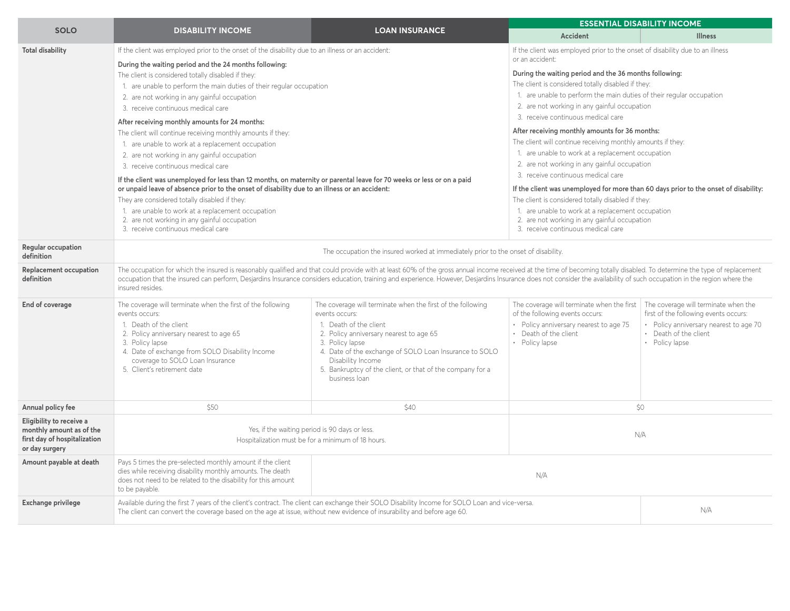| <b>SOLO</b>                                                                                            | <b>DISABILITY INCOME</b>                                                                                                                                                                                                                                                                                                                                                                                                                                                                                                                                                                                                                                                                                                                                                                                                                                                                                                                                                                                                                                           |                                                                                                                                                                                                                                                                                                                                    |                                                                                                                                                                                                                                                                                                                                                                                                                                                                                                                                                                                                                                                                                                                                                                                                                                                                                                                                     | <b>ESSENTIAL DISABILITY INCOME</b>                                                                                                                                 |  |
|--------------------------------------------------------------------------------------------------------|--------------------------------------------------------------------------------------------------------------------------------------------------------------------------------------------------------------------------------------------------------------------------------------------------------------------------------------------------------------------------------------------------------------------------------------------------------------------------------------------------------------------------------------------------------------------------------------------------------------------------------------------------------------------------------------------------------------------------------------------------------------------------------------------------------------------------------------------------------------------------------------------------------------------------------------------------------------------------------------------------------------------------------------------------------------------|------------------------------------------------------------------------------------------------------------------------------------------------------------------------------------------------------------------------------------------------------------------------------------------------------------------------------------|-------------------------------------------------------------------------------------------------------------------------------------------------------------------------------------------------------------------------------------------------------------------------------------------------------------------------------------------------------------------------------------------------------------------------------------------------------------------------------------------------------------------------------------------------------------------------------------------------------------------------------------------------------------------------------------------------------------------------------------------------------------------------------------------------------------------------------------------------------------------------------------------------------------------------------------|--------------------------------------------------------------------------------------------------------------------------------------------------------------------|--|
|                                                                                                        |                                                                                                                                                                                                                                                                                                                                                                                                                                                                                                                                                                                                                                                                                                                                                                                                                                                                                                                                                                                                                                                                    | <b>LOAN INSURANCE</b>                                                                                                                                                                                                                                                                                                              | <b>Accident</b>                                                                                                                                                                                                                                                                                                                                                                                                                                                                                                                                                                                                                                                                                                                                                                                                                                                                                                                     | <b>Illness</b>                                                                                                                                                     |  |
| <b>Total disability</b><br>Regular occupation<br>definition                                            | If the client was employed prior to the onset of the disability due to an illness or an accident:<br>During the waiting period and the 24 months following:<br>The client is considered totally disabled if they:<br>1. are unable to perform the main duties of their regular occupation<br>2. are not working in any gainful occupation<br>3. receive continuous medical care<br>After receiving monthly amounts for 24 months:<br>The client will continue receiving monthly amounts if they:<br>1. are unable to work at a replacement occupation<br>2. are not working in any gainful occupation<br>3. receive continuous medical care<br>If the client was unemployed for less than 12 months, on maternity or parental leave for 70 weeks or less or on a paid<br>or unpaid leave of absence prior to the onset of disability due to an illness or an accident:<br>They are considered totally disabled if they:<br>1. are unable to work at a replacement occupation<br>2. are not working in any gainful occupation<br>3. receive continuous medical care | The occupation the insured worked at immediately prior to the onset of disability.                                                                                                                                                                                                                                                 | If the client was employed prior to the onset of disability due to an illness<br>or an accident:<br>During the waiting period and the 36 months following:<br>The client is considered totally disabled if they:<br>1. are unable to perform the main duties of their regular occupation<br>2. are not working in any gainful occupation<br>3. receive continuous medical care<br>After receiving monthly amounts for 36 months:<br>The client will continue receiving monthly amounts if they:<br>1. are unable to work at a replacement occupation<br>2. are not working in any gainful occupation<br>3. receive continuous medical care<br>If the client was unemployed for more than 60 days prior to the onset of disability:<br>The client is considered totally disabled if they:<br>1. are unable to work at a replacement occupation<br>2. are not working in any gainful occupation<br>3. receive continuous medical care |                                                                                                                                                                    |  |
| <b>Replacement occupation</b><br>definition                                                            | The occupation for which the insured is reasonably qualified and that could provide with at least 60% of the gross annual income received at the time of becoming totally disabled. To determine the type of replacement<br>occupation that the insured can perform, Desjardins Insurance considers education, training and experience. However, Desjardins Insurance does not consider the availability of such occupation in the region where the<br>insured resides.                                                                                                                                                                                                                                                                                                                                                                                                                                                                                                                                                                                            |                                                                                                                                                                                                                                                                                                                                    |                                                                                                                                                                                                                                                                                                                                                                                                                                                                                                                                                                                                                                                                                                                                                                                                                                                                                                                                     |                                                                                                                                                                    |  |
| End of coverage                                                                                        | The coverage will terminate when the first of the following<br>events occurs:<br>1. Death of the client<br>2. Policy anniversary nearest to age 65<br>3. Policy lapse<br>4. Date of exchange from SOLO Disability Income<br>coverage to SOLO Loan Insurance<br>5. Client's retirement date                                                                                                                                                                                                                                                                                                                                                                                                                                                                                                                                                                                                                                                                                                                                                                         | The coverage will terminate when the first of the following<br>events occurs:<br>1. Death of the client<br>2. Policy anniversary nearest to age 65<br>3. Policy lapse<br>4. Date of the exchange of SOLO Loan Insurance to SOLO<br>Disability Income<br>5. Bankruptcy of the client, or that of the company for a<br>business loan | The coverage will terminate when the first<br>of the following events occurs:<br>• Policy anniversary nearest to age 75<br>• Death of the client<br>• Policy lapse                                                                                                                                                                                                                                                                                                                                                                                                                                                                                                                                                                                                                                                                                                                                                                  | The coverage will terminate when the<br>first of the following events occurs:<br>• Policy anniversary nearest to age 70<br>• Death of the client<br>• Policy lapse |  |
| Annual policy fee                                                                                      | \$50                                                                                                                                                                                                                                                                                                                                                                                                                                                                                                                                                                                                                                                                                                                                                                                                                                                                                                                                                                                                                                                               | \$40                                                                                                                                                                                                                                                                                                                               | \$0                                                                                                                                                                                                                                                                                                                                                                                                                                                                                                                                                                                                                                                                                                                                                                                                                                                                                                                                 |                                                                                                                                                                    |  |
| Eligibility to receive a<br>monthly amount as of the<br>first day of hospitalization<br>or day surgery |                                                                                                                                                                                                                                                                                                                                                                                                                                                                                                                                                                                                                                                                                                                                                                                                                                                                                                                                                                                                                                                                    | Yes, if the waiting period is 90 days or less.<br>Hospitalization must be for a minimum of 18 hours.                                                                                                                                                                                                                               | N/A                                                                                                                                                                                                                                                                                                                                                                                                                                                                                                                                                                                                                                                                                                                                                                                                                                                                                                                                 |                                                                                                                                                                    |  |
| Amount payable at death                                                                                | Pays 5 times the pre-selected monthly amount if the client<br>dies while receiving disability monthly amounts. The death<br>does not need to be related to the disability for this amount<br>to be payable.                                                                                                                                                                                                                                                                                                                                                                                                                                                                                                                                                                                                                                                                                                                                                                                                                                                        |                                                                                                                                                                                                                                                                                                                                    | N/A                                                                                                                                                                                                                                                                                                                                                                                                                                                                                                                                                                                                                                                                                                                                                                                                                                                                                                                                 |                                                                                                                                                                    |  |
| <b>Exchange privilege</b>                                                                              | The client can convert the coverage based on the age at issue, without new evidence of insurability and before age 60.                                                                                                                                                                                                                                                                                                                                                                                                                                                                                                                                                                                                                                                                                                                                                                                                                                                                                                                                             | Available during the first 7 years of the client's contract. The client can exchange their SOLO Disability Income for SOLO Loan and vice-versa.                                                                                                                                                                                    |                                                                                                                                                                                                                                                                                                                                                                                                                                                                                                                                                                                                                                                                                                                                                                                                                                                                                                                                     | N/A                                                                                                                                                                |  |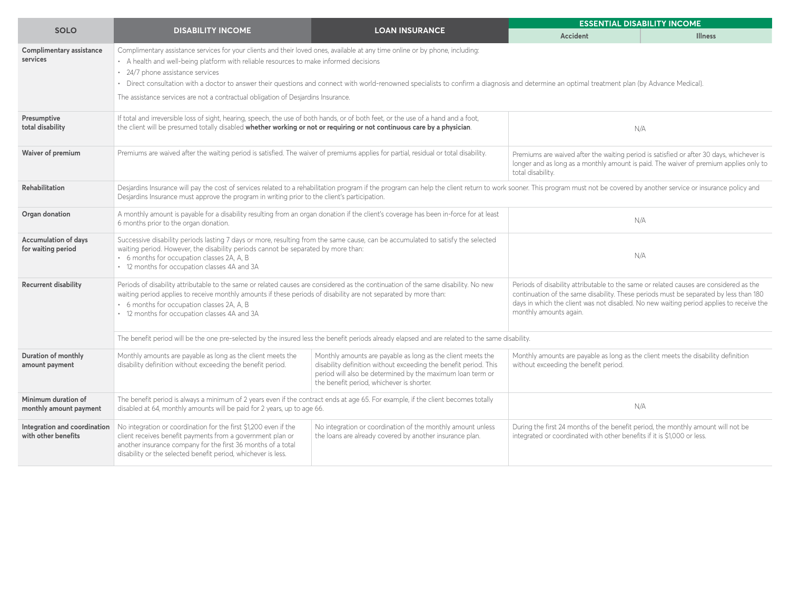|                                                     |                                                                                                                                                                                                                                                                                                                                                      | <b>ESSENTIAL DISABILITY INCOME</b>                                                                                                                                                                                                                                                                                            |                                                                                                                                                                                                                                                                                                      |                |  |  |  |
|-----------------------------------------------------|------------------------------------------------------------------------------------------------------------------------------------------------------------------------------------------------------------------------------------------------------------------------------------------------------------------------------------------------------|-------------------------------------------------------------------------------------------------------------------------------------------------------------------------------------------------------------------------------------------------------------------------------------------------------------------------------|------------------------------------------------------------------------------------------------------------------------------------------------------------------------------------------------------------------------------------------------------------------------------------------------------|----------------|--|--|--|
| <b>SOLO</b>                                         | <b>DISABILITY INCOME</b>                                                                                                                                                                                                                                                                                                                             | <b>LOAN INSURANCE</b>                                                                                                                                                                                                                                                                                                         | Accident                                                                                                                                                                                                                                                                                             | <b>Illness</b> |  |  |  |
| Complimentary assistance<br>services                | Complimentary assistance services for your clients and their loved ones, available at any time online or by phone, including:<br>• A health and well-being platform with reliable resources to make informed decisions                                                                                                                               |                                                                                                                                                                                                                                                                                                                               |                                                                                                                                                                                                                                                                                                      |                |  |  |  |
|                                                     | • 24/7 phone assistance services                                                                                                                                                                                                                                                                                                                     |                                                                                                                                                                                                                                                                                                                               |                                                                                                                                                                                                                                                                                                      |                |  |  |  |
|                                                     |                                                                                                                                                                                                                                                                                                                                                      | • Direct consultation with a doctor to answer their questions and connect with world-renowned specialists to confirm a diagnosis and determine an optimal treatment plan (by Advance Medical).                                                                                                                                |                                                                                                                                                                                                                                                                                                      |                |  |  |  |
|                                                     | The assistance services are not a contractual obligation of Desjardins Insurance.                                                                                                                                                                                                                                                                    |                                                                                                                                                                                                                                                                                                                               |                                                                                                                                                                                                                                                                                                      |                |  |  |  |
| Presumptive<br>total disability                     | If total and irreversible loss of sight, hearing, speech, the use of both hands, or of both feet, or the use of a hand and a foot,<br>the client will be presumed totally disabled whether working or not or requiring or not continuous care by a physician.                                                                                        | N/A                                                                                                                                                                                                                                                                                                                           |                                                                                                                                                                                                                                                                                                      |                |  |  |  |
| Waiver of premium                                   | Premiums are waived after the waiting period is satisfied. The waiver of premiums applies for partial, residual or total disability.                                                                                                                                                                                                                 | total disability.                                                                                                                                                                                                                                                                                                             | Premiums are waived after the waiting period is satisfied or after 30 days, whichever is<br>longer and as long as a monthly amount is paid. The waiver of premium applies only to                                                                                                                    |                |  |  |  |
| <b>Rehabilitation</b>                               |                                                                                                                                                                                                                                                                                                                                                      | Desjardins Insurance will pay the cost of services related to a rehabilitation program if the program can help the client return to work sooner. This program must not be covered by another service or insurance policy and<br>Desjardins Insurance must approve the program in writing prior to the client's participation. |                                                                                                                                                                                                                                                                                                      |                |  |  |  |
| Organ donation                                      | A monthly amount is payable for a disability resulting from an organ donation if the client's coverage has been in-force for at least<br>6 months prior to the organ donation.                                                                                                                                                                       | N/A                                                                                                                                                                                                                                                                                                                           |                                                                                                                                                                                                                                                                                                      |                |  |  |  |
| <b>Accumulation of days</b><br>for waiting period   | Successive disability periods lasting 7 days or more, resulting from the same cause, can be accumulated to satisfy the selected<br>waiting period. However, the disability periods cannot be separated by more than:<br>• 6 months for occupation classes 2A, A, B<br>• 12 months for occupation classes 4A and 3A                                   | N/A                                                                                                                                                                                                                                                                                                                           |                                                                                                                                                                                                                                                                                                      |                |  |  |  |
| <b>Recurrent disability</b>                         | Periods of disability attributable to the same or related causes are considered as the continuation of the same disability. No new<br>waiting period applies to receive monthly amounts if these periods of disability are not separated by more than:<br>• 6 months for occupation classes 2A, A, B<br>• 12 months for occupation classes 4A and 3A |                                                                                                                                                                                                                                                                                                                               | Periods of disability attributable to the same or related causes are considered as the<br>continuation of the same disability. These periods must be separated by less than 180<br>days in which the client was not disabled. No new waiting period applies to receive the<br>monthly amounts again. |                |  |  |  |
|                                                     | The benefit period will be the one pre-selected by the insured less the benefit periods already elapsed and are related to the same disability.                                                                                                                                                                                                      |                                                                                                                                                                                                                                                                                                                               |                                                                                                                                                                                                                                                                                                      |                |  |  |  |
| Duration of monthly<br>amount payment               | Monthly amounts are payable as long as the client meets the<br>disability definition without exceeding the benefit period.                                                                                                                                                                                                                           | Monthly amounts are payable as long as the client meets the<br>disability definition without exceeding the benefit period. This<br>period will also be determined by the maximum loan term or<br>the benefit period, whichever is shorter.                                                                                    | Monthly amounts are payable as long as the client meets the disability definition<br>without exceeding the benefit period.                                                                                                                                                                           |                |  |  |  |
| Minimum duration of<br>monthly amount payment       | The benefit period is always a minimum of 2 years even if the contract ends at age 65. For example, if the client becomes totally<br>disabled at 64, monthly amounts will be paid for 2 years, up to age 66.                                                                                                                                         | N/A                                                                                                                                                                                                                                                                                                                           |                                                                                                                                                                                                                                                                                                      |                |  |  |  |
| Integration and coordination<br>with other benefits | No integration or coordination for the first \$1,200 even if the<br>client receives benefit payments from a government plan or<br>another insurance company for the first 36 months of a total<br>disability or the selected benefit period, whichever is less.                                                                                      | No integration or coordination of the monthly amount unless<br>the loans are already covered by another insurance plan.                                                                                                                                                                                                       | During the first 24 months of the benefit period, the monthly amount will not be<br>integrated or coordinated with other benefits if it is \$1,000 or less.                                                                                                                                          |                |  |  |  |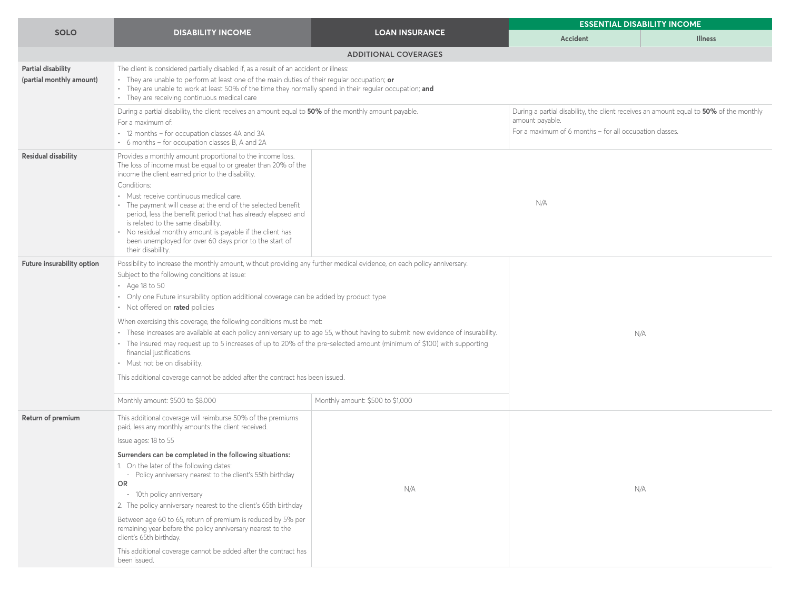|                                                       | <b>DISABILITY INCOME</b>                                                                                                                                                                                                                                                                                                                                                                                                                                                                                                                                                                                                                                                                                                                                                                                        | <b>LOAN INSURANCE</b>            | <b>ESSENTIAL DISABILITY INCOME</b>                                                                                                                                   |                |  |
|-------------------------------------------------------|-----------------------------------------------------------------------------------------------------------------------------------------------------------------------------------------------------------------------------------------------------------------------------------------------------------------------------------------------------------------------------------------------------------------------------------------------------------------------------------------------------------------------------------------------------------------------------------------------------------------------------------------------------------------------------------------------------------------------------------------------------------------------------------------------------------------|----------------------------------|----------------------------------------------------------------------------------------------------------------------------------------------------------------------|----------------|--|
| <b>SOLO</b>                                           |                                                                                                                                                                                                                                                                                                                                                                                                                                                                                                                                                                                                                                                                                                                                                                                                                 |                                  | Accident                                                                                                                                                             | <b>Illness</b> |  |
|                                                       |                                                                                                                                                                                                                                                                                                                                                                                                                                                                                                                                                                                                                                                                                                                                                                                                                 | <b>ADDITIONAL COVERAGES</b>      |                                                                                                                                                                      |                |  |
| <b>Partial disability</b><br>(partial monthly amount) | The client is considered partially disabled if, as a result of an accident or illness:<br>• They are unable to perform at least one of the main duties of their regular occupation; or<br>• They are unable to work at least 50% of the time they normally spend in their regular occupation; and<br>• They are receiving continuous medical care                                                                                                                                                                                                                                                                                                                                                                                                                                                               |                                  |                                                                                                                                                                      |                |  |
|                                                       | During a partial disability, the client receives an amount equal to 50% of the monthly amount payable.<br>For a maximum of:<br>• 12 months - for occupation classes 4A and 3A<br>• 6 months - for occupation classes B, A and 2A                                                                                                                                                                                                                                                                                                                                                                                                                                                                                                                                                                                |                                  | During a partial disability, the client receives an amount equal to 50% of the monthly<br>amount payable.<br>For a maximum of 6 months - for all occupation classes. |                |  |
| <b>Residual disability</b>                            | Provides a monthly amount proportional to the income loss.<br>The loss of income must be equal to or greater than 20% of the<br>income the client earned prior to the disability.<br>Conditions:<br>• Must receive continuous medical care.<br>• The payment will cease at the end of the selected benefit<br>period, less the benefit period that has already elapsed and<br>is related to the same disability.<br>• No residual monthly amount is payable if the client has<br>been unemployed for over 60 days prior to the start of<br>their disability.                                                                                                                                                                                                                                                    |                                  | N/A                                                                                                                                                                  |                |  |
| Future insurability option                            | Possibility to increase the monthly amount, without providing any further medical evidence, on each policy anniversary.<br>Subject to the following conditions at issue:<br>$\cdot$ Age 18 to 50<br>• Only one Future insurability option additional coverage can be added by product type<br>• Not offered on rated policies<br>When exercising this coverage, the following conditions must be met:<br>• These increases are available at each policy anniversary up to age 55, without having to submit new evidence of insurability.<br>• The insured may request up to 5 increases of up to 20% of the pre-selected amount (minimum of \$100) with supporting<br>financial justifications.<br>• Must not be on disability.<br>This additional coverage cannot be added after the contract has been issued. |                                  |                                                                                                                                                                      | N/A            |  |
|                                                       | Monthly amount: \$500 to \$8,000                                                                                                                                                                                                                                                                                                                                                                                                                                                                                                                                                                                                                                                                                                                                                                                | Monthly amount: \$500 to \$1,000 |                                                                                                                                                                      |                |  |
| Return of premium                                     | This additional coverage will reimburse 50% of the premiums<br>paid, less any monthly amounts the client received.<br>Issue ages: 18 to 55<br>Surrenders can be completed in the following situations:<br>1. On the later of the following dates:<br>- Policy anniversary nearest to the client's 55th birthday<br>OR.<br>- 10th policy anniversary<br>2. The policy anniversary nearest to the client's 65th birthday<br>Between age 60 to 65, return of premium is reduced by 5% per<br>remaining year before the policy anniversary nearest to the<br>client's 65th birthday.<br>This additional coverage cannot be added after the contract has<br>been issued.                                                                                                                                             | N/A                              |                                                                                                                                                                      | N/A            |  |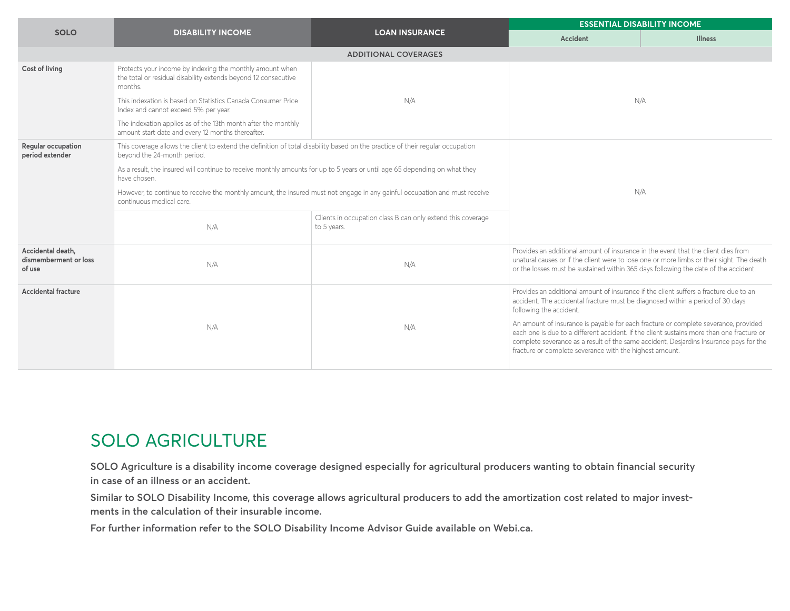|                                                      |                                                                                                                                                               |                                                                            | <b>ESSENTIAL DISABILITY INCOME</b>                                                                                                                                                                                                                                                                                                                                                                                                                                               |                |  |  |
|------------------------------------------------------|---------------------------------------------------------------------------------------------------------------------------------------------------------------|----------------------------------------------------------------------------|----------------------------------------------------------------------------------------------------------------------------------------------------------------------------------------------------------------------------------------------------------------------------------------------------------------------------------------------------------------------------------------------------------------------------------------------------------------------------------|----------------|--|--|
| <b>SOLO</b>                                          | <b>DISABILITY INCOME</b>                                                                                                                                      | <b>LOAN INSURANCE</b>                                                      | Accident                                                                                                                                                                                                                                                                                                                                                                                                                                                                         | <b>Illness</b> |  |  |
|                                                      |                                                                                                                                                               | <b>ADDITIONAL COVERAGES</b>                                                |                                                                                                                                                                                                                                                                                                                                                                                                                                                                                  |                |  |  |
| <b>Cost of living</b>                                | Protects your income by indexing the monthly amount when<br>the total or residual disability extends beyond 12 consecutive<br>months.                         |                                                                            |                                                                                                                                                                                                                                                                                                                                                                                                                                                                                  |                |  |  |
|                                                      | This indexation is based on Statistics Canada Consumer Price<br>Index and cannot exceed 5% per year.                                                          | N/A                                                                        | N/A                                                                                                                                                                                                                                                                                                                                                                                                                                                                              |                |  |  |
|                                                      | The indexation applies as of the 13th month after the monthly<br>amount start date and every 12 months thereafter.                                            |                                                                            |                                                                                                                                                                                                                                                                                                                                                                                                                                                                                  |                |  |  |
| <b>Regular occupation</b><br>period extender         | This coverage allows the client to extend the definition of total disability based on the practice of their regular occupation<br>beyond the 24-month period. |                                                                            |                                                                                                                                                                                                                                                                                                                                                                                                                                                                                  |                |  |  |
|                                                      | As a result, the insured will continue to receive monthly amounts for up to 5 years or until age 65 depending on what they<br>have chosen.                    | N/A                                                                        |                                                                                                                                                                                                                                                                                                                                                                                                                                                                                  |                |  |  |
|                                                      | However, to continue to receive the monthly amount, the insured must not engage in any gainful occupation and must receive<br>continuous medical care.        |                                                                            |                                                                                                                                                                                                                                                                                                                                                                                                                                                                                  |                |  |  |
|                                                      | N/A                                                                                                                                                           | Clients in occupation class B can only extend this coverage<br>to 5 years. |                                                                                                                                                                                                                                                                                                                                                                                                                                                                                  |                |  |  |
| Accidental death,<br>dismemberment or loss<br>of use | N/A                                                                                                                                                           | N/A                                                                        | Provides an additional amount of insurance in the event that the client dies from<br>unatural causes or if the client were to lose one or more limbs or their sight. The death<br>or the losses must be sustained within 365 days following the date of the accident.                                                                                                                                                                                                            |                |  |  |
| <b>Accidental fracture</b>                           | N/A                                                                                                                                                           | N/A                                                                        | Provides an additional amount of insurance if the client suffers a fracture due to an<br>accident. The accidental fracture must be diagnosed within a period of 30 days<br>following the accident.<br>An amount of insurance is payable for each fracture or complete severance, provided<br>each one is due to a different accident. If the client sustains more than one fracture or<br>complete severance as a result of the same accident, Desjardins Insurance pays for the |                |  |  |
|                                                      |                                                                                                                                                               |                                                                            | fracture or complete severance with the highest amount.                                                                                                                                                                                                                                                                                                                                                                                                                          |                |  |  |

## ACCIDENT AND ILLNESS **ADDITIONAL COVERAGE SOLO AGRICULTURE**

SOLO Agriculture is a disability income coverage designed especially for agricultural producers wanting to obtain financial security in case of an illness or an accident.

Similar to SOLO Disability Income, this coverage allows agricultural producers to add the amortization cost related to major invest**ments in the calculation of their insurable income.**

For further information refer to the SOLO Disability Income Advisor Guide available on Webi.ca.